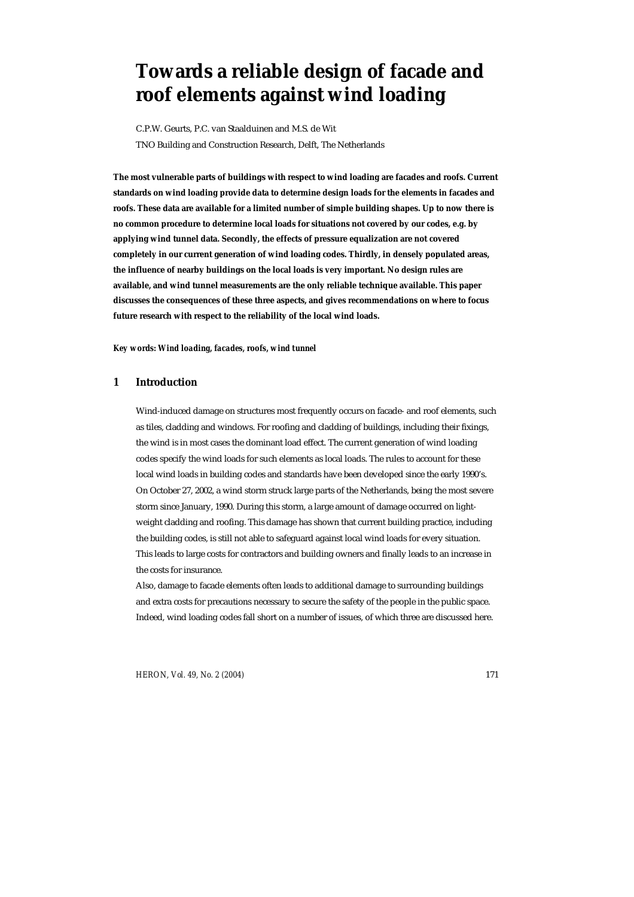# **Towards a reliable design of facade and roof elements against wind loading**

C.P.W. Geurts, P.C. van Staalduinen and M.S. de Wit TNO Building and Construction Research, Delft, The Netherlands

**The most vulnerable parts of buildings with respect to wind loading are facades and roofs. Current standards on wind loading provide data to determine design loads for the elements in facades and roofs. These data are available for a limited number of simple building shapes. Up to now there is no common procedure to determine local loads for situations not covered by our codes, e.g. by applying wind tunnel data. Secondly, the effects of pressure equalization are not covered completely in our current generation of wind loading codes. Thirdly, in densely populated areas, the influence of nearby buildings on the local loads is very important. No design rules are available, and wind tunnel measurements are the only reliable technique available. This paper discusses the consequences of these three aspects, and gives recommendations on where to focus future research with respect to the reliability of the local wind loads.** 

*Key words: Wind loading, facades, roofs, wind tunnel* 

# **1 Introduction**

Wind-induced damage on structures most frequently occurs on facade- and roof elements, such as tiles, cladding and windows. For roofing and cladding of buildings, including their fixings, the wind is in most cases the dominant load effect. The current generation of wind loading codes specify the wind loads for such elements as local loads. The rules to account for these local wind loads in building codes and standards have been developed since the early 1990's. On October 27, 2002, a wind storm struck large parts of the Netherlands, being the most severe storm since January, 1990. During this storm, a large amount of damage occurred on lightweight cladding and roofing. This damage has shown that current building practice, including the building codes, is still not able to safeguard against local wind loads for every situation. This leads to large costs for contractors and building owners and finally leads to an increase in the costs for insurance.

Also, damage to facade elements often leads to additional damage to surrounding buildings and extra costs for precautions necessary to secure the safety of the people in the public space. Indeed, wind loading codes fall short on a number of issues, of which three are discussed here.

*HERON, Vol. 49, No. 2 (2004)* 171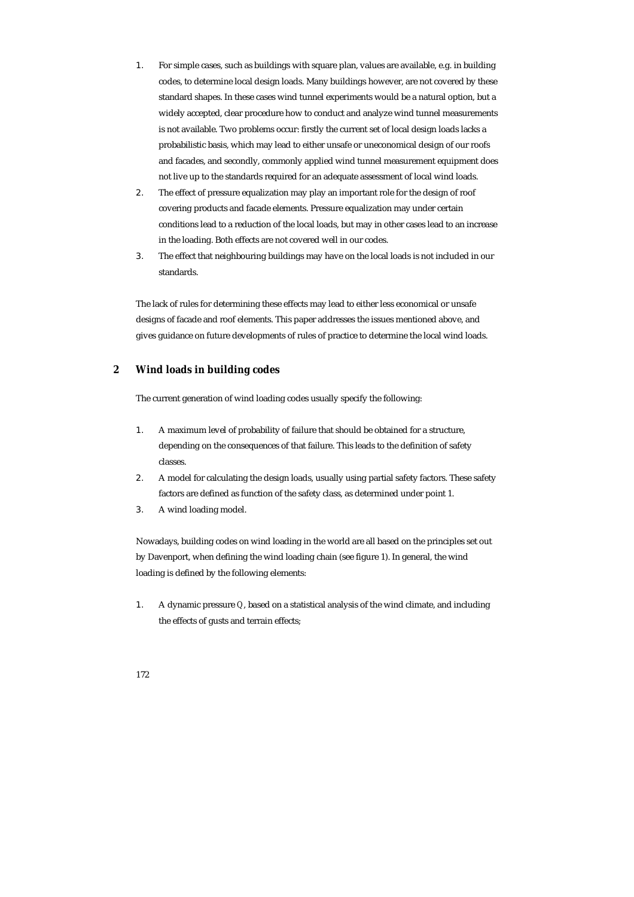- 1. For simple cases, such as buildings with square plan, values are available, e.g. in building codes, to determine local design loads. Many buildings however, are not covered by these standard shapes. In these cases wind tunnel experiments would be a natural option, but a widely accepted, clear procedure how to conduct and analyze wind tunnel measurements is not available. Two problems occur: firstly the current set of local design loads lacks a probabilistic basis, which may lead to either unsafe or uneconomical design of our roofs and facades, and secondly, commonly applied wind tunnel measurement equipment does not live up to the standards required for an adequate assessment of local wind loads.
- 2. The effect of pressure equalization may play an important role for the design of roof covering products and facade elements. Pressure equalization may under certain conditions lead to a reduction of the local loads, but may in other cases lead to an increase in the loading. Both effects are not covered well in our codes.
- 3. The effect that neighbouring buildings may have on the local loads is not included in our standards.

The lack of rules for determining these effects may lead to either less economical or unsafe designs of facade and roof elements. This paper addresses the issues mentioned above, and gives guidance on future developments of rules of practice to determine the local wind loads.

# **2 Wind loads in building codes**

The current generation of wind loading codes usually specify the following:

- 1. A maximum level of probability of failure that should be obtained for a structure, depending on the consequences of that failure. This leads to the definition of safety classes.
- 2. A model for calculating the design loads, usually using partial safety factors. These safety factors are defined as function of the safety class, as determined under point 1.
- 3. A wind loading model.

Nowadays, building codes on wind loading in the world are all based on the principles set out by Davenport, when defining the wind loading chain (see figure 1). In general, the wind loading is defined by the following elements:

1. A dynamic pressure *Q*, based on a statistical analysis of the wind climate, and including the effects of gusts and terrain effects;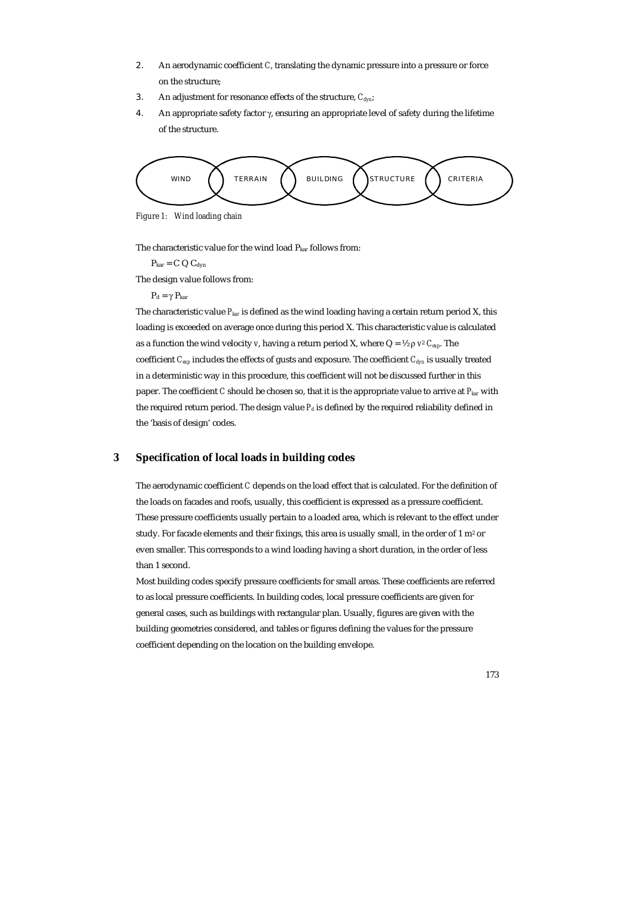- 2. An aerodynamic coefficient *C*, translating the dynamic pressure into a pressure or force on the structure;
- 3. An adjustment for resonance effects of the structure,  $C_{dyn}$ ;
- 4. An appropriate safety factor  $\gamma$ , ensuring an appropriate level of safety during the lifetime of the structure.



*Figure 1: Wind loading chain* 

The characteristic value for the wind load P<sub>kar</sub> follows from:

 $P_{\text{kar}} = C Q C_{\text{dyn}}$ 

The design value follows from:

 $P_d = \gamma P_{kar}$ 

The characteristic value *Pkar* is defined as the wind loading having a certain return period X, this loading is exceeded on average once during this period X. This characteristic value is calculated as a function the wind velocity *v*, having a return period *X*, where  $Q = \frac{1}{2} \rho v^2 C_{exp}$ . The coefficient *C<sub>exp</sub>* includes the effects of gusts and exposure. The coefficient *C*<sub>dyn</sub> is usually treated in a deterministic way in this procedure, this coefficient will not be discussed further in this paper. The coefficient *C* should be chosen so, that it is the appropriate value to arrive at *Pkar* with the required return period. The design value  $P_d$  is defined by the required reliability defined in the 'basis of design' codes.

## **3 Specification of local loads in building codes**

The aerodynamic coefficient *C* depends on the load effect that is calculated. For the definition of the loads on facades and roofs, usually, this coefficient is expressed as a pressure coefficient. These pressure coefficients usually pertain to a loaded area, which is relevant to the effect under study. For facade elements and their fixings, this area is usually small, in the order of 1 m<sup>2</sup> or even smaller. This corresponds to a wind loading having a short duration, in the order of less than 1 second.

Most building codes specify pressure coefficients for small areas. These coefficients are referred to as local pressure coefficients. In building codes, local pressure coefficients are given for general cases, such as buildings with rectangular plan. Usually, figures are given with the building geometries considered, and tables or figures defining the values for the pressure coefficient depending on the location on the building envelope.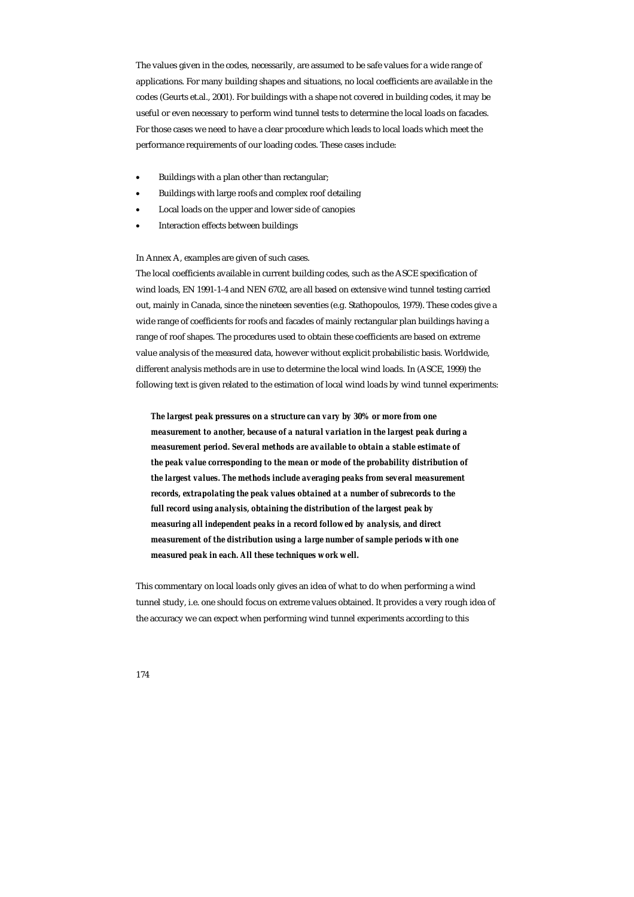The values given in the codes, necessarily, are assumed to be safe values for a wide range of applications. For many building shapes and situations, no local coefficients are available in the codes (Geurts et.al., 2001). For buildings with a shape not covered in building codes, it may be useful or even necessary to perform wind tunnel tests to determine the local loads on facades. For those cases we need to have a clear procedure which leads to local loads which meet the performance requirements of our loading codes. These cases include:

- Buildings with a plan other than rectangular;
- Buildings with large roofs and complex roof detailing
- Local loads on the upper and lower side of canopies
- Interaction effects between buildings

#### In Annex A, examples are given of such cases.

The local coefficients available in current building codes, such as the ASCE specification of wind loads, EN 1991-1-4 and NEN 6702, are all based on extensive wind tunnel testing carried out, mainly in Canada, since the nineteen seventies (e.g. Stathopoulos, 1979). These codes give a wide range of coefficients for roofs and facades of mainly rectangular plan buildings having a range of roof shapes. The procedures used to obtain these coefficients are based on extreme value analysis of the measured data, however without explicit probabilistic basis. Worldwide, different analysis methods are in use to determine the local wind loads. In (ASCE, 1999) the following text is given related to the estimation of local wind loads by wind tunnel experiments:

*The largest peak pressures on a structure can vary by 30% or more from one measurement to another, because of a natural variation in the largest peak during a measurement period. Several methods are available to obtain a stable estimate of the peak value corresponding to the mean or mode of the probability distribution of the largest values. The methods include averaging peaks from several measurement records, extrapolating the peak values obtained at a number of subrecords to the full record using analysis, obtaining the distribution of the largest peak by measuring all independent peaks in a record followed by analysis, and direct measurement of the distribution using a large number of sample periods with one measured peak in each. All these techniques work well.* 

This commentary on local loads only gives an idea of what to do when performing a wind tunnel study, i.e. one should focus on extreme values obtained. It provides a very rough idea of the accuracy we can expect when performing wind tunnel experiments according to this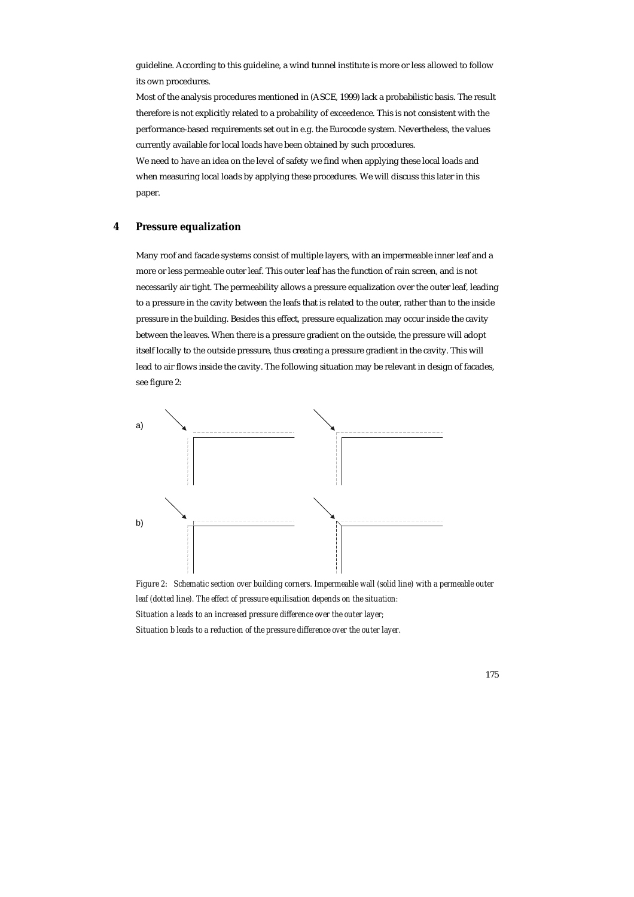guideline. According to this guideline, a wind tunnel institute is more or less allowed to follow its own procedures.

Most of the analysis procedures mentioned in (ASCE, 1999) lack a probabilistic basis. The result therefore is not explicitly related to a probability of exceedence. This is not consistent with the performance-based requirements set out in e.g. the Eurocode system. Nevertheless, the values currently available for local loads have been obtained by such procedures.

We need to have an idea on the level of safety we find when applying these local loads and when measuring local loads by applying these procedures. We will discuss this later in this paper.

# **4 Pressure equalization**

Many roof and facade systems consist of multiple layers, with an impermeable inner leaf and a more or less permeable outer leaf. This outer leaf has the function of rain screen, and is not necessarily air tight. The permeability allows a pressure equalization over the outer leaf, leading to a pressure in the cavity between the leafs that is related to the outer, rather than to the inside pressure in the building. Besides this effect, pressure equalization may occur inside the cavity between the leaves. When there is a pressure gradient on the outside, the pressure will adopt itself locally to the outside pressure, thus creating a pressure gradient in the cavity. This will lead to air flows inside the cavity. The following situation may be relevant in design of facades, see figure 2:



*Figure 2: Schematic section over building corners. Impermeable wall (solid line) with a permeable outer leaf (dotted line). The effect of pressure equilisation depends on the situation: Situation a leads to an increased pressure difference over the outer layer; Situation b leads to a reduction of the pressure difference over the outer layer.*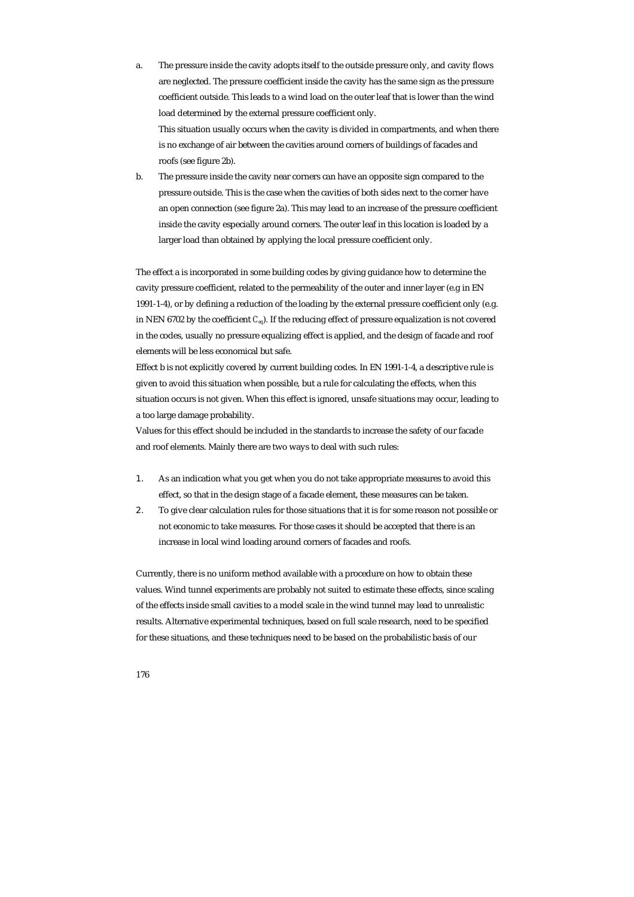- a. The pressure inside the cavity adopts itself to the outside pressure only, and cavity flows are neglected. The pressure coefficient inside the cavity has the same sign as the pressure coefficient outside. This leads to a wind load on the outer leaf that is lower than the wind load determined by the external pressure coefficient only. This situation usually occurs when the cavity is divided in compartments, and when there is no exchange of air between the cavities around corners of buildings of facades and roofs (see figure 2b).
- b. The pressure inside the cavity near corners can have an opposite sign compared to the pressure outside. This is the case when the cavities of both sides next to the corner have an open connection (see figure 2a). This may lead to an increase of the pressure coefficient inside the cavity especially around corners. The outer leaf in this location is loaded by a larger load than obtained by applying the local pressure coefficient only.

The effect a is incorporated in some building codes by giving guidance how to determine the cavity pressure coefficient, related to the permeability of the outer and inner layer (e.g in EN 1991-1-4), or by defining a reduction of the loading by the external pressure coefficient only (e.g. in NEN 6702 by the coefficient *Ceq*). If the reducing effect of pressure equalization is not covered in the codes, usually no pressure equalizing effect is applied, and the design of facade and roof elements will be less economical but safe.

Effect b is not explicitly covered by current building codes. In EN 1991-1-4, a descriptive rule is given to avoid this situation when possible, but a rule for calculating the effects, when this situation occurs is not given. When this effect is ignored, unsafe situations may occur, leading to a too large damage probability.

Values for this effect should be included in the standards to increase the safety of our facade and roof elements. Mainly there are two ways to deal with such rules:

- 1. As an indication what you get when you do not take appropriate measures to avoid this effect, so that in the design stage of a facade element, these measures can be taken.
- 2. To give clear calculation rules for those situations that it is for some reason not possible or not economic to take measures. For those cases it should be accepted that there is an increase in local wind loading around corners of facades and roofs.

Currently, there is no uniform method available with a procedure on how to obtain these values. Wind tunnel experiments are probably not suited to estimate these effects, since scaling of the effects inside small cavities to a model scale in the wind tunnel may lead to unrealistic results. Alternative experimental techniques, based on full scale research, need to be specified for these situations, and these techniques need to be based on the probabilistic basis of our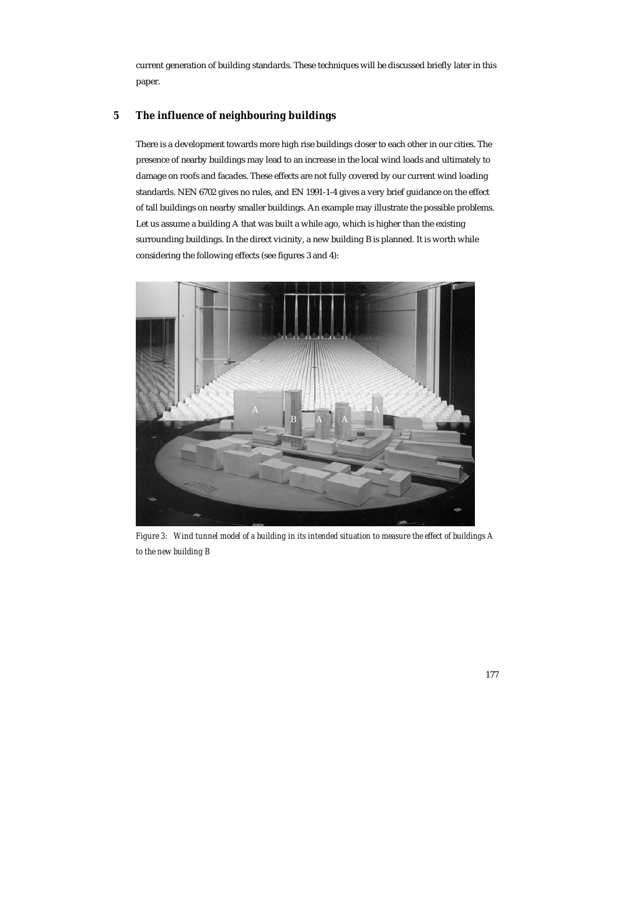current generation of building standards. These techniques will be discussed briefly later in this paper.

# **5 The influence of neighbouring buildings**

There is a development towards more high rise buildings closer to each other in our cities. The presence of nearby buildings may lead to an increase in the local wind loads and ultimately to damage on roofs and facades. These effects are not fully covered by our current wind loading standards. NEN 6702 gives no rules, and EN 1991-1-4 gives a very brief guidance on the effect of tall buildings on nearby smaller buildings. An example may illustrate the possible problems. Let us assume a building A that was built a while ago, which is higher than the existing surrounding buildings. In the direct vicinity, a new building B is planned. It is worth while considering the following effects (see figures 3 and 4):



*Figure 3: Wind tunnel model of a building in its intended situation to measure the effect of buildings A to the new building B*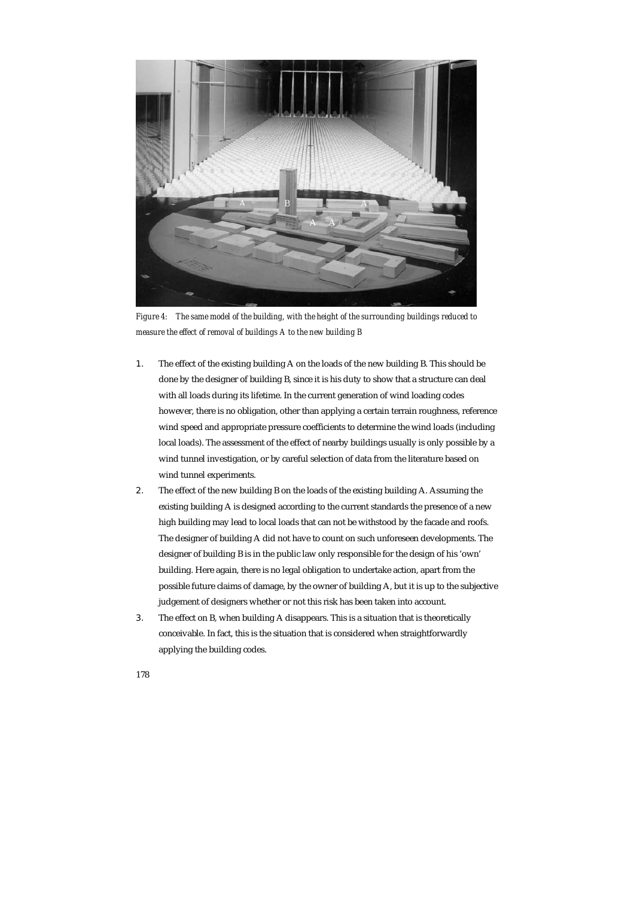

*Figure 4: The same model of the building, with the height of the surrounding buildings reduced to measure the effect of removal of buildings A to the new building B* 

- 1. The effect of the existing building A on the loads of the new building B. This should be done by the designer of building B, since it is his duty to show that a structure can deal with all loads during its lifetime. In the current generation of wind loading codes however, there is no obligation, other than applying a certain terrain roughness, reference wind speed and appropriate pressure coefficients to determine the wind loads (including local loads). The assessment of the effect of nearby buildings usually is only possible by a wind tunnel investigation, or by careful selection of data from the literature based on wind tunnel experiments.
- 2. The effect of the new building B on the loads of the existing building A. Assuming the existing building A is designed according to the current standards the presence of a new high building may lead to local loads that can not be withstood by the facade and roofs. The designer of building A did not have to count on such unforeseen developments. The designer of building B is in the public law only responsible for the design of his 'own' building. Here again, there is no legal obligation to undertake action, apart from the possible future claims of damage, by the owner of building A, but it is up to the subjective judgement of designers whether or not this risk has been taken into account.
- 3. The effect on B, when building A disappears. This is a situation that is theoretically conceivable. In fact, this is the situation that is considered when straightforwardly applying the building codes.
- 178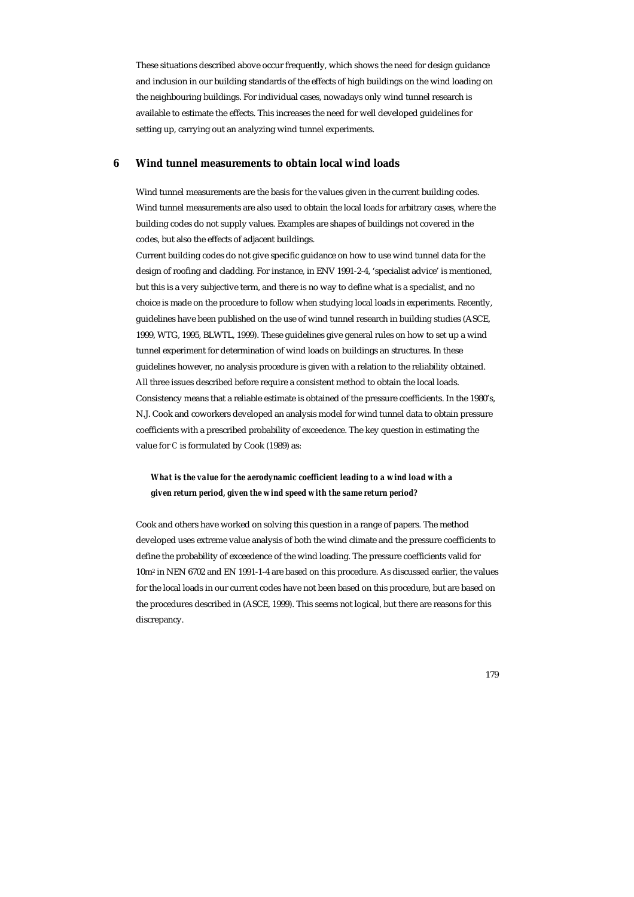These situations described above occur frequently, which shows the need for design guidance and inclusion in our building standards of the effects of high buildings on the wind loading on the neighbouring buildings. For individual cases, nowadays only wind tunnel research is available to estimate the effects. This increases the need for well developed guidelines for setting up, carrying out an analyzing wind tunnel experiments.

## **6 Wind tunnel measurements to obtain local wind loads**

Wind tunnel measurements are the basis for the values given in the current building codes. Wind tunnel measurements are also used to obtain the local loads for arbitrary cases, where the building codes do not supply values. Examples are shapes of buildings not covered in the codes, but also the effects of adjacent buildings.

Current building codes do not give specific guidance on how to use wind tunnel data for the design of roofing and cladding. For instance, in ENV 1991-2-4, 'specialist advice' is mentioned, but this is a very subjective term, and there is no way to define what is a specialist, and no choice is made on the procedure to follow when studying local loads in experiments. Recently, guidelines have been published on the use of wind tunnel research in building studies (ASCE, 1999, WTG, 1995, BLWTL, 1999). These guidelines give general rules on how to set up a wind tunnel experiment for determination of wind loads on buildings an structures. In these guidelines however, no analysis procedure is given with a relation to the reliability obtained. All three issues described before require a consistent method to obtain the local loads. Consistency means that a reliable estimate is obtained of the pressure coefficients. In the 1980's, N.J. Cook and coworkers developed an analysis model for wind tunnel data to obtain pressure coefficients with a prescribed probability of exceedence. The key question in estimating the value for *C* is formulated by Cook (1989) as:

# *What is the value for the aerodynamic coefficient leading to a wind load with a given return period, given the wind speed with the same return period?*

Cook and others have worked on solving this question in a range of papers. The method developed uses extreme value analysis of both the wind climate and the pressure coefficients to define the probability of exceedence of the wind loading. The pressure coefficients valid for 10m2 in NEN 6702 and EN 1991-1-4 are based on this procedure. As discussed earlier, the values for the local loads in our current codes have not been based on this procedure, but are based on the procedures described in (ASCE, 1999). This seems not logical, but there are reasons for this discrepancy.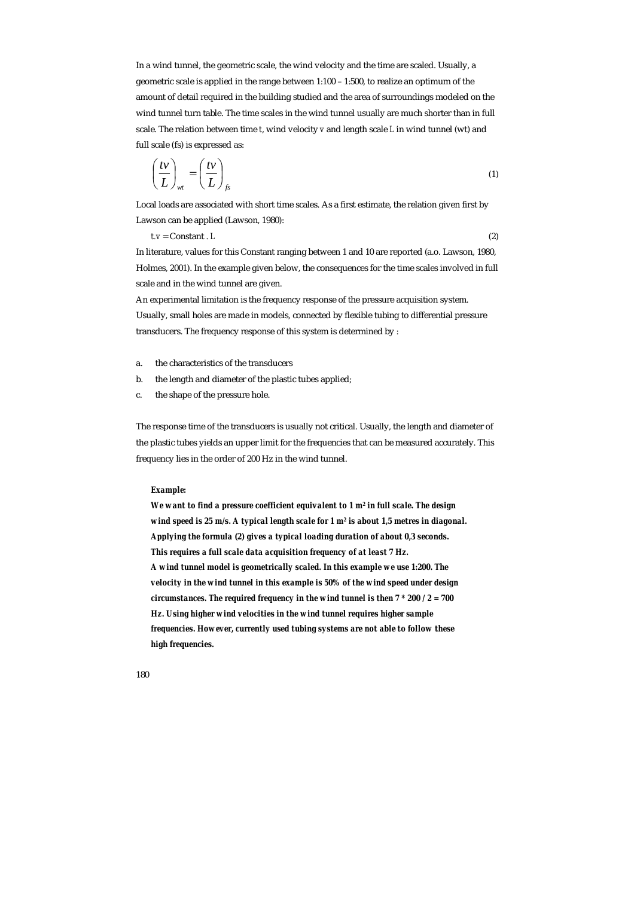In a wind tunnel, the geometric scale, the wind velocity and the time are scaled. Usually, a geometric scale is applied in the range between 1:100 – 1:500, to realize an optimum of the amount of detail required in the building studied and the area of surroundings modeled on the wind tunnel turn table. The time scales in the wind tunnel usually are much shorter than in full scale. The relation between time *t*, wind velocity *v* and length scale *L* in wind tunnel (wt) and full scale (fs) is expressed as:

$$
\left(\frac{t\nu}{L}\right)_{wt} = \left(\frac{t\nu}{L}\right)_{fs} \tag{1}
$$

Local loads are associated with short time scales. As a first estimate, the relation given first by Lawson can be applied (Lawson, 1980):

*t.v* = Constant . *L* (2)

In literature, values for this Constant ranging between 1 and 10 are reported (a.o. Lawson, 1980, Holmes, 2001). In the example given below, the consequences for the time scales involved in full scale and in the wind tunnel are given.

An experimental limitation is the frequency response of the pressure acquisition system. Usually, small holes are made in models, connected by flexible tubing to differential pressure transducers. The frequency response of this system is determined by :

- a. the characteristics of the transducers
- b. the length and diameter of the plastic tubes applied;
- c. the shape of the pressure hole.

The response time of the transducers is usually not critical. Usually, the length and diameter of the plastic tubes yields an upper limit for the frequencies that can be measured accurately. This frequency lies in the order of 200 Hz in the wind tunnel.

#### *Example:*

*We want to find a pressure coefficient equivalent to 1 m<sup>2</sup> in full scale. The design wind speed is 25 m/s. A typical length scale for 1 m2 is about 1,5 metres in diagonal. Applying the formula (2) gives a typical loading duration of about 0,3 seconds. This requires a full scale data acquisition frequency of at least 7 Hz. A wind tunnel model is geometrically scaled. In this example we use 1:200. The velocity in the wind tunnel in this example is 50% of the wind speed under design circumstances. The required frequency in the wind tunnel is then 7 \* 200 / 2 = 700 Hz. Using higher wind velocities in the wind tunnel requires higher sample frequencies. However, currently used tubing systems are not able to follow these high frequencies.*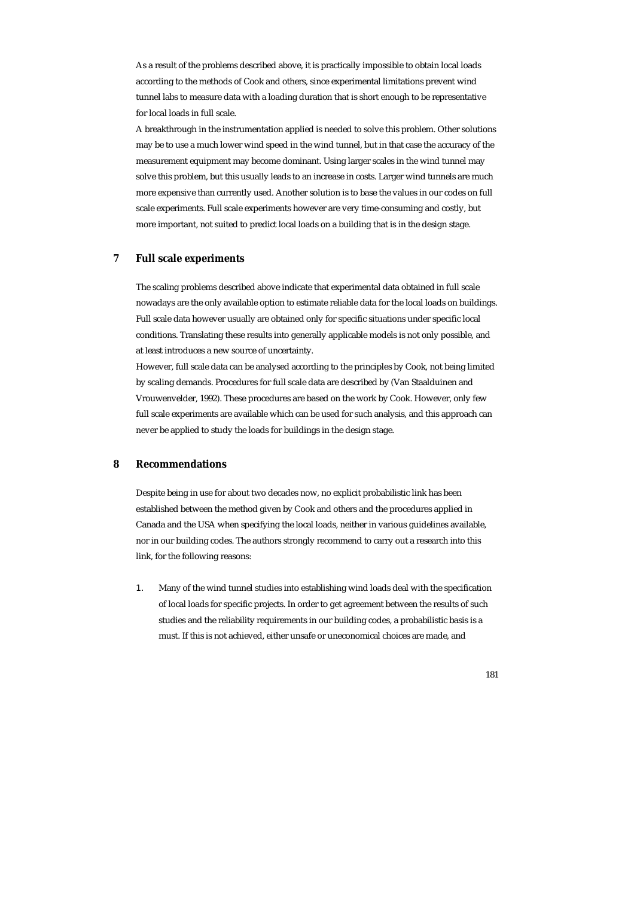As a result of the problems described above, it is practically impossible to obtain local loads according to the methods of Cook and others, since experimental limitations prevent wind tunnel labs to measure data with a loading duration that is short enough to be representative for local loads in full scale.

A breakthrough in the instrumentation applied is needed to solve this problem. Other solutions may be to use a much lower wind speed in the wind tunnel, but in that case the accuracy of the measurement equipment may become dominant. Using larger scales in the wind tunnel may solve this problem, but this usually leads to an increase in costs. Larger wind tunnels are much more expensive than currently used. Another solution is to base the values in our codes on full scale experiments. Full scale experiments however are very time-consuming and costly, but more important, not suited to predict local loads on a building that is in the design stage.

## **7 Full scale experiments**

The scaling problems described above indicate that experimental data obtained in full scale nowadays are the only available option to estimate reliable data for the local loads on buildings. Full scale data however usually are obtained only for specific situations under specific local conditions. Translating these results into generally applicable models is not only possible, and at least introduces a new source of uncertainty.

However, full scale data can be analysed according to the principles by Cook, not being limited by scaling demands. Procedures for full scale data are described by (Van Staalduinen and Vrouwenvelder, 1992). These procedures are based on the work by Cook. However, only few full scale experiments are available which can be used for such analysis, and this approach can never be applied to study the loads for buildings in the design stage.

# **8 Recommendations**

Despite being in use for about two decades now, no explicit probabilistic link has been established between the method given by Cook and others and the procedures applied in Canada and the USA when specifying the local loads, neither in various guidelines available, nor in our building codes. The authors strongly recommend to carry out a research into this link, for the following reasons:

1. Many of the wind tunnel studies into establishing wind loads deal with the specification of local loads for specific projects. In order to get agreement between the results of such studies and the reliability requirements in our building codes, a probabilistic basis is a must. If this is not achieved, either unsafe or uneconomical choices are made, and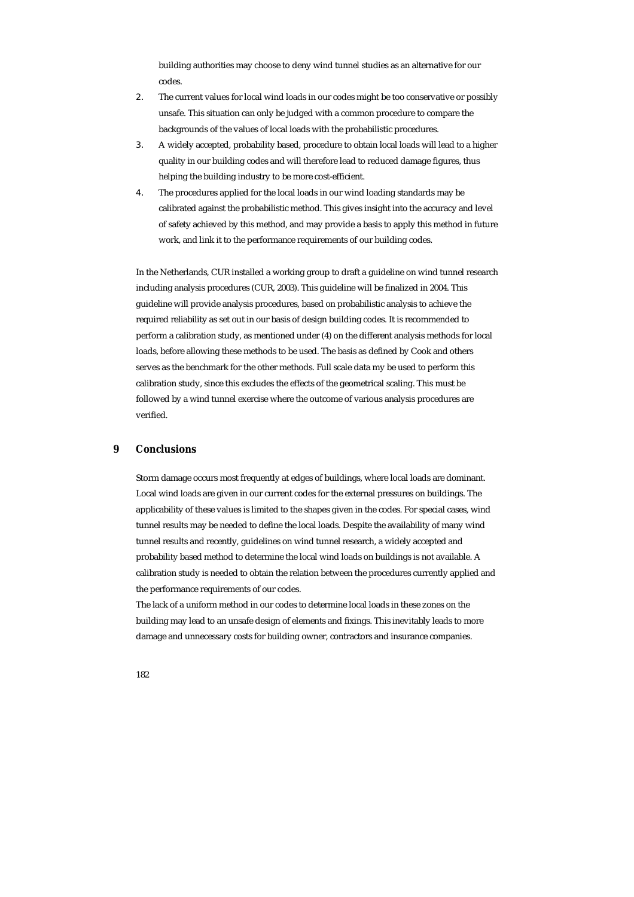building authorities may choose to deny wind tunnel studies as an alternative for our codes.

- 2. The current values for local wind loads in our codes might be too conservative or possibly unsafe. This situation can only be judged with a common procedure to compare the backgrounds of the values of local loads with the probabilistic procedures.
- 3. A widely accepted, probability based, procedure to obtain local loads will lead to a higher quality in our building codes and will therefore lead to reduced damage figures, thus helping the building industry to be more cost-efficient.
- 4. The procedures applied for the local loads in our wind loading standards may be calibrated against the probabilistic method. This gives insight into the accuracy and level of safety achieved by this method, and may provide a basis to apply this method in future work, and link it to the performance requirements of our building codes.

In the Netherlands, CUR installed a working group to draft a guideline on wind tunnel research including analysis procedures (CUR, 2003). This guideline will be finalized in 2004. This guideline will provide analysis procedures, based on probabilistic analysis to achieve the required reliability as set out in our basis of design building codes. It is recommended to perform a calibration study, as mentioned under (4) on the different analysis methods for local loads, before allowing these methods to be used. The basis as defined by Cook and others serves as the benchmark for the other methods. Full scale data my be used to perform this calibration study, since this excludes the effects of the geometrical scaling. This must be followed by a wind tunnel exercise where the outcome of various analysis procedures are verified.

## **9 Conclusions**

Storm damage occurs most frequently at edges of buildings, where local loads are dominant. Local wind loads are given in our current codes for the external pressures on buildings. The applicability of these values is limited to the shapes given in the codes. For special cases, wind tunnel results may be needed to define the local loads. Despite the availability of many wind tunnel results and recently, guidelines on wind tunnel research, a widely accepted and probability based method to determine the local wind loads on buildings is not available. A calibration study is needed to obtain the relation between the procedures currently applied and the performance requirements of our codes.

The lack of a uniform method in our codes to determine local loads in these zones on the building may lead to an unsafe design of elements and fixings. This inevitably leads to more damage and unnecessary costs for building owner, contractors and insurance companies.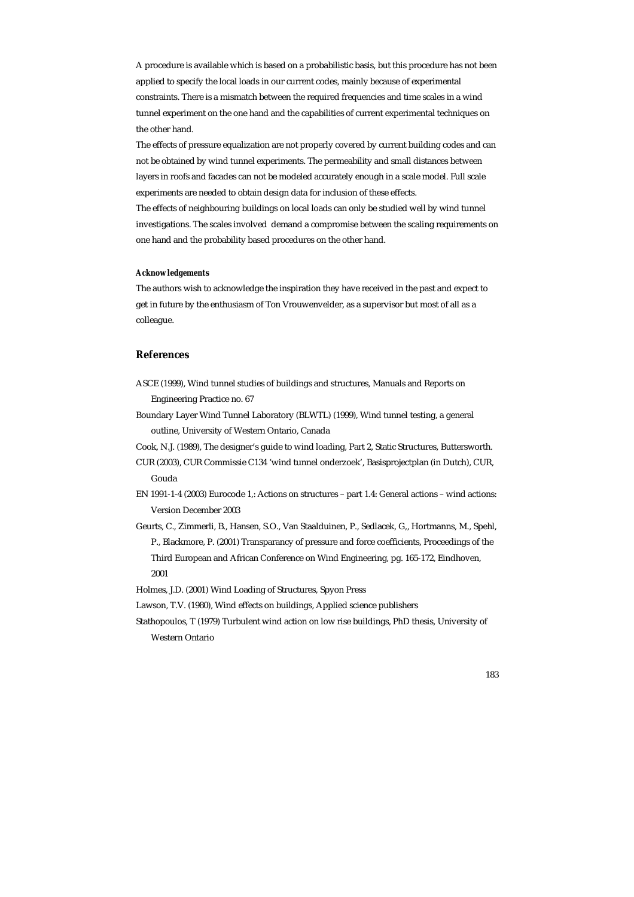A procedure is available which is based on a probabilistic basis, but this procedure has not been applied to specify the local loads in our current codes, mainly because of experimental constraints. There is a mismatch between the required frequencies and time scales in a wind tunnel experiment on the one hand and the capabilities of current experimental techniques on the other hand.

The effects of pressure equalization are not properly covered by current building codes and can not be obtained by wind tunnel experiments. The permeability and small distances between layers in roofs and facades can not be modeled accurately enough in a scale model. Full scale experiments are needed to obtain design data for inclusion of these effects. The effects of neighbouring buildings on local loads can only be studied well by wind tunnel investigations. The scales involved demand a compromise between the scaling requirements on

#### *Acknowledgements*

The authors wish to acknowledge the inspiration they have received in the past and expect to get in future by the enthusiasm of Ton Vrouwenvelder, as a supervisor but most of all as a colleague.

one hand and the probability based procedures on the other hand.

## **References**

- ASCE (1999), Wind tunnel studies of buildings and structures, Manuals and Reports on Engineering Practice no. 67
- Boundary Layer Wind Tunnel Laboratory (BLWTL) (1999), Wind tunnel testing, a general outline, University of Western Ontario, Canada
- Cook, N.J. (1989), The designer's guide to wind loading, Part 2, Static Structures, Buttersworth.
- CUR (2003), CUR Commissie C134 'wind tunnel onderzoek', Basisprojectplan (in Dutch), CUR, Gouda
- EN 1991-1-4 (2003) Eurocode 1,: Actions on structures part 1.4: General actions wind actions: Version December 2003
- Geurts, C., Zimmerli, B., Hansen, S.O., Van Staalduinen, P., Sedlacek, G,, Hortmanns, M., Spehl, P., Blackmore, P. (2001) Transparancy of pressure and force coefficients, Proceedings of the Third European and African Conference on Wind Engineering, pg. 165-172, Eindhoven, 2001
- Holmes, J.D. (2001) Wind Loading of Structures, Spyon Press
- Lawson, T.V. (1980), Wind effects on buildings, Applied science publishers
- Stathopoulos, T (1979) Turbulent wind action on low rise buildings, PhD thesis, University of Western Ontario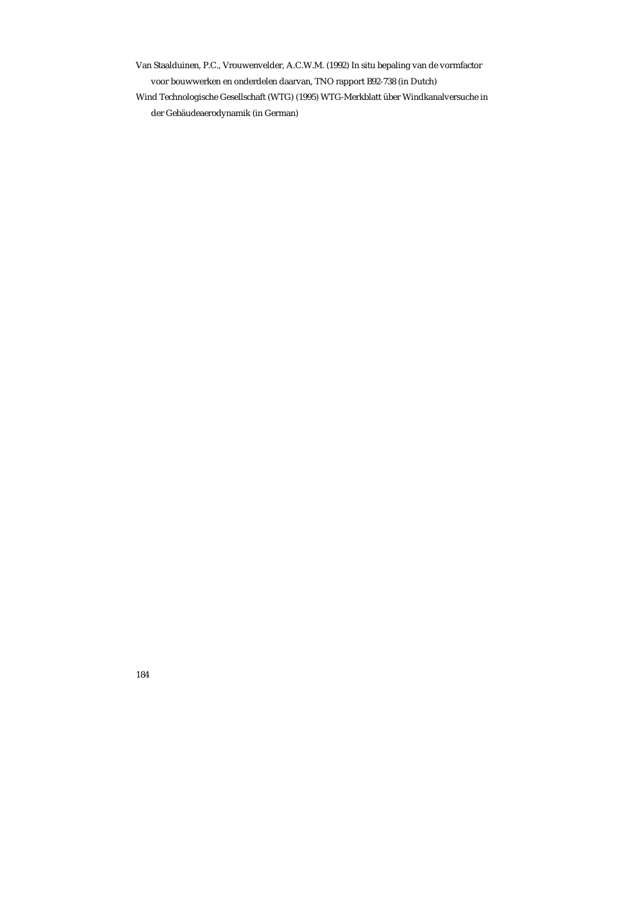Van Staalduinen, P.C., Vrouwenvelder, A.C.W.M. (1992) In situ bepaling van de vormfactor voor bouwwerken en onderdelen daarvan, TNO rapport B92-738 (in Dutch) Wind Technologische Gesellschaft (WTG) (1995) WTG-Merkblatt über Windkanalversuche in der Gebäudeaerodynamik (in German)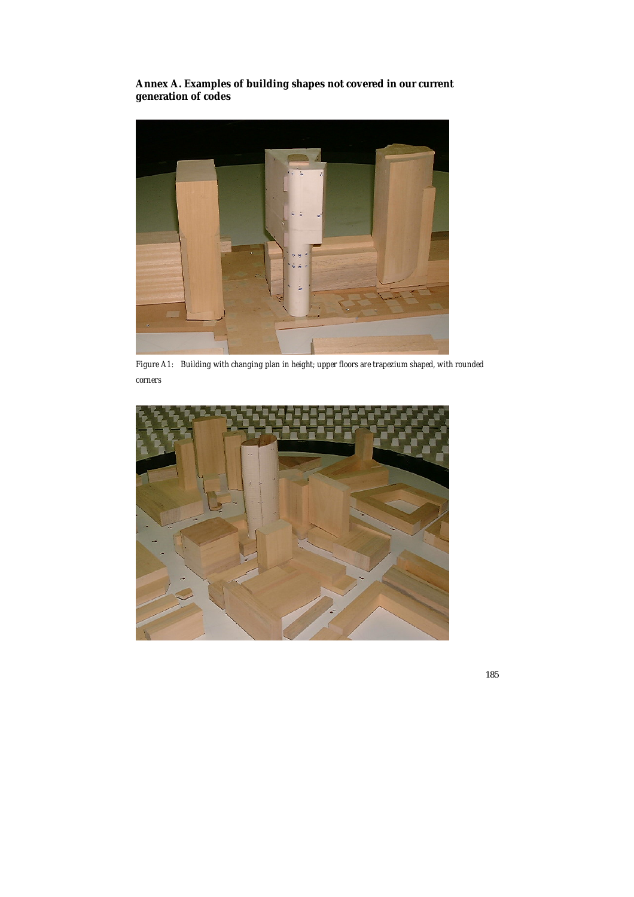**Annex A. Examples of building shapes not covered in our current generation of codes** 



*Figure A1: Building with changing plan in height; upper floors are trapezium shaped, with rounded corners* 

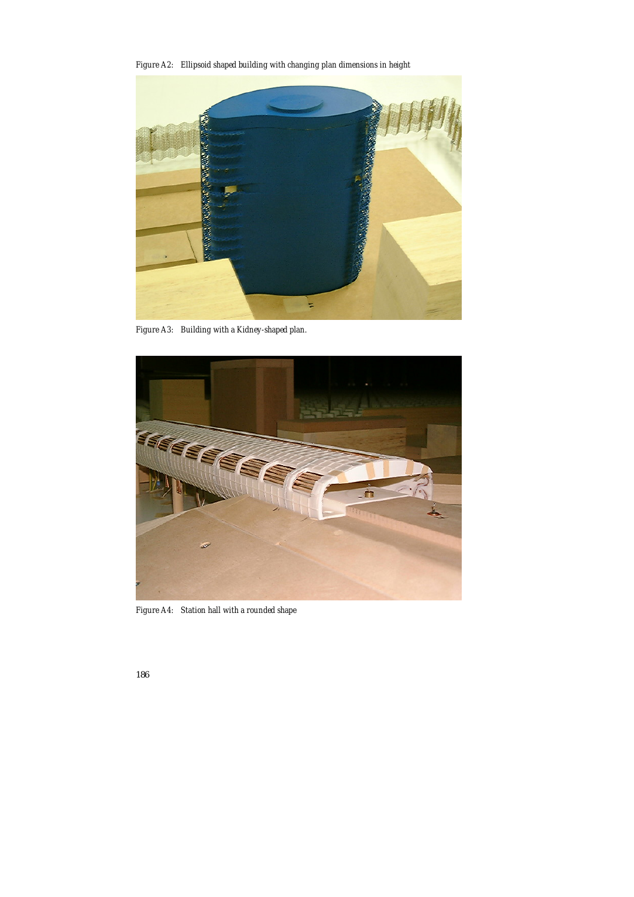*Figure A2: Ellipsoid shaped building with changing plan dimensions in height* 



*Figure A3: Building with a Kidney-shaped plan.* 



*Figure A4: Station hall with a rounded shape*